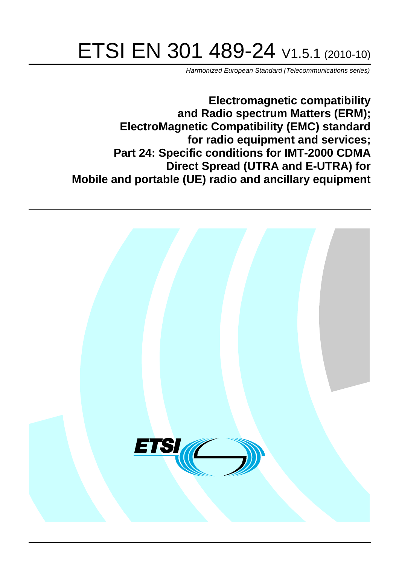# ETSI EN 301 489-24 V1.5.1 (2010-10)

*Harmonized European Standard (Telecommunications series)*

**Electromagnetic compatibility and Radio spectrum Matters (ERM); ElectroMagnetic Compatibility (EMC) standard for radio equipment and services; Part 24: Specific conditions for IMT-2000 CDMA Direct Spread (UTRA and E-UTRA) for Mobile and portable (UE) radio and ancillary equipment**

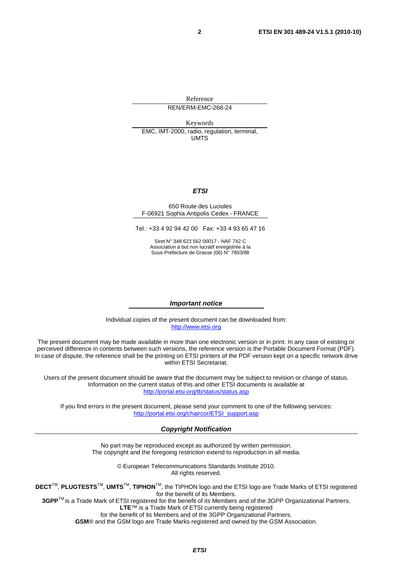Reference REN/ERM-EMC-268-24

Keywords EMC, IMT-2000, radio, regulation, terminal, UMTS

#### *ETSI*

#### 650 Route des Lucioles F-06921 Sophia Antipolis Cedex - FRANCE

Tel.: +33 4 92 94 42 00 Fax: +33 4 93 65 47 16

Siret N° 348 623 562 00017 - NAF 742 C Association à but non lucratif enregistrée à la Sous-Préfecture de Grasse (06) N° 7803/88

#### *Important notice*

Individual copies of the present document can be downloaded from: [http://www.etsi.org](http://www.etsi.org/)

The present document may be made available in more than one electronic version or in print. In any case of existing or perceived difference in contents between such versions, the reference version is the Portable Document Format (PDF). In case of dispute, the reference shall be the printing on ETSI printers of the PDF version kept on a specific network drive within ETSI Secretariat.

Users of the present document should be aware that the document may be subject to revision or change of status. Information on the current status of this and other ETSI documents is available at <http://portal.etsi.org/tb/status/status.asp>

If you find errors in the present document, please send your comment to one of the following services: [http://portal.etsi.org/chaircor/ETSI\\_support.asp](http://portal.etsi.org/chaircor/ETSI_support.asp)

#### *Copyright Notification*

No part may be reproduced except as authorized by written permission. The copyright and the foregoing restriction extend to reproduction in all media.

> © European Telecommunications Standards Institute 2010. All rights reserved.

**DECT**TM, **PLUGTESTS**TM, **UMTS**TM, **TIPHON**TM, the TIPHON logo and the ETSI logo are Trade Marks of ETSI registered for the benefit of its Members.

**3GPP**TM is a Trade Mark of ETSI registered for the benefit of its Members and of the 3GPP Organizational Partners. **LTE**™ is a Trade Mark of ETSI currently being registered

for the benefit of its Members and of the 3GPP Organizational Partners.

**GSM**® and the GSM logo are Trade Marks registered and owned by the GSM Association.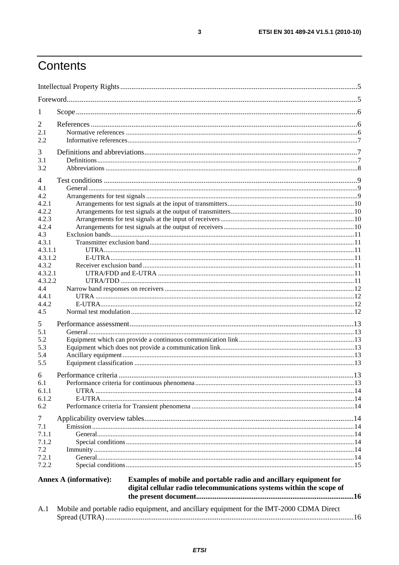## Contents

| 1              |                        |                                                                                                                                            |  |
|----------------|------------------------|--------------------------------------------------------------------------------------------------------------------------------------------|--|
| 2              |                        |                                                                                                                                            |  |
| 2.1            |                        |                                                                                                                                            |  |
| 2.2            |                        |                                                                                                                                            |  |
|                |                        |                                                                                                                                            |  |
| 3              |                        |                                                                                                                                            |  |
| 3.1            |                        |                                                                                                                                            |  |
| 3.2            |                        |                                                                                                                                            |  |
| 4              |                        |                                                                                                                                            |  |
| 4.1            |                        |                                                                                                                                            |  |
| 4.2            |                        |                                                                                                                                            |  |
| 4.2.1          |                        |                                                                                                                                            |  |
| 4.2.2          |                        |                                                                                                                                            |  |
| 4.2.3          |                        |                                                                                                                                            |  |
| 4.2.4          |                        |                                                                                                                                            |  |
| 4.3<br>4.3.1   |                        |                                                                                                                                            |  |
| 4.3.1.1        |                        |                                                                                                                                            |  |
| 4.3.1.2        |                        |                                                                                                                                            |  |
| 4.3.2          |                        |                                                                                                                                            |  |
| 4.3.2.1        |                        |                                                                                                                                            |  |
| 4.3.2.2        |                        |                                                                                                                                            |  |
| 4.4            |                        |                                                                                                                                            |  |
| 4.4.1          |                        |                                                                                                                                            |  |
| 4.4.2          |                        |                                                                                                                                            |  |
| 4.5            |                        |                                                                                                                                            |  |
| 5              |                        |                                                                                                                                            |  |
| 5.1            |                        |                                                                                                                                            |  |
| 5.2            |                        |                                                                                                                                            |  |
| 5.3            |                        |                                                                                                                                            |  |
| 5.4            |                        |                                                                                                                                            |  |
| 5.5            |                        |                                                                                                                                            |  |
| 6              |                        |                                                                                                                                            |  |
| 6.1            |                        |                                                                                                                                            |  |
| 6.1.1          |                        |                                                                                                                                            |  |
| 6.1.2          |                        |                                                                                                                                            |  |
| 6.2            |                        |                                                                                                                                            |  |
| $\overline{7}$ |                        |                                                                                                                                            |  |
| 7.1            |                        |                                                                                                                                            |  |
| 7.1.1          |                        |                                                                                                                                            |  |
| 7.1.2          |                        |                                                                                                                                            |  |
| 7.2            |                        |                                                                                                                                            |  |
| 7.2.1          |                        |                                                                                                                                            |  |
| 7.2.2          |                        |                                                                                                                                            |  |
|                | Annex A (informative): | Examples of mobile and portable radio and ancillary equipment for<br>digital cellular radio telecommunications systems within the scope of |  |
| A.1            |                        | Mobile and portable radio equipment, and ancillary equipment for the IMT-2000 CDMA Direct                                                  |  |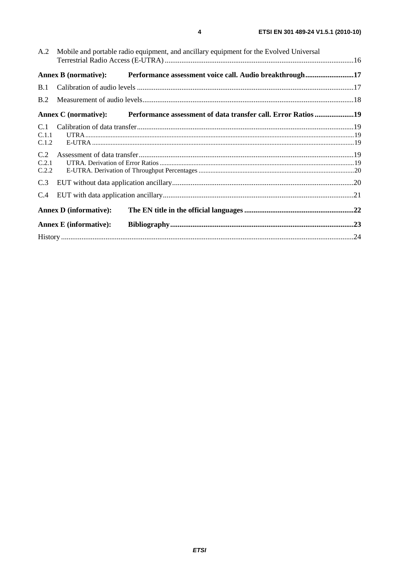| A.2                   | Mobile and portable radio equipment, and ancillary equipment for the Evolved Universal |                                                               |  |
|-----------------------|----------------------------------------------------------------------------------------|---------------------------------------------------------------|--|
|                       | <b>Annex B</b> (normative):                                                            | Performance assessment voice call. Audio breakthrough17       |  |
| B.1                   |                                                                                        |                                                               |  |
| B.2                   |                                                                                        |                                                               |  |
|                       | Annex C (normative):                                                                   | Performance assessment of data transfer call. Error Ratios 19 |  |
| C.1<br>C.1.1<br>C.1.2 |                                                                                        |                                                               |  |
| C.2<br>C.2.1<br>C.2.2 |                                                                                        |                                                               |  |
| C.3                   |                                                                                        |                                                               |  |
| C.4                   |                                                                                        |                                                               |  |
|                       | <b>Annex D</b> (informative):                                                          |                                                               |  |
|                       | <b>Annex E</b> (informative):                                                          |                                                               |  |
|                       |                                                                                        |                                                               |  |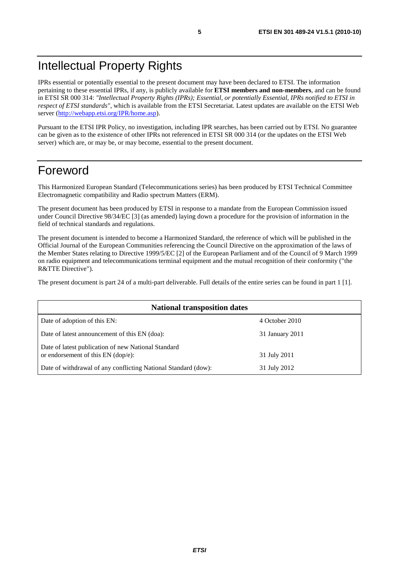### Intellectual Property Rights

IPRs essential or potentially essential to the present document may have been declared to ETSI. The information pertaining to these essential IPRs, if any, is publicly available for **ETSI members and non-members**, and can be found in ETSI SR 000 314: *"Intellectual Property Rights (IPRs); Essential, or potentially Essential, IPRs notified to ETSI in respect of ETSI standards"*, which is available from the ETSI Secretariat. Latest updates are available on the ETSI Web server ([http://webapp.etsi.org/IPR/home.asp\)](http://webapp.etsi.org/IPR/home.asp).

Pursuant to the ETSI IPR Policy, no investigation, including IPR searches, has been carried out by ETSI. No guarantee can be given as to the existence of other IPRs not referenced in ETSI SR 000 314 (or the updates on the ETSI Web server) which are, or may be, or may become, essential to the present document.

### Foreword

This Harmonized European Standard (Telecommunications series) has been produced by ETSI Technical Committee Electromagnetic compatibility and Radio spectrum Matters (ERM).

The present document has been produced by ETSI in response to a mandate from the European Commission issued under Council Directive 98/34/EC [3] (as amended) laying down a procedure for the provision of information in the field of technical standards and regulations.

The present document is intended to become a Harmonized Standard, the reference of which will be published in the Official Journal of the European Communities referencing the Council Directive on the approximation of the laws of the Member States relating to Directive 1999/5/EC [2] of the European Parliament and of the Council of 9 March 1999 on radio equipment and telecommunications terminal equipment and the mutual recognition of their conformity ("the R&TTE Directive").

The present document is part 24 of a multi-part deliverable. Full details of the entire series can be found in part 1 [1].

| <b>National transposition dates</b>                                                         |                 |  |  |
|---------------------------------------------------------------------------------------------|-----------------|--|--|
| Date of adoption of this EN:                                                                | 4 October 2010  |  |  |
| Date of latest announcement of this EN (doa):                                               | 31 January 2011 |  |  |
| Date of latest publication of new National Standard<br>or endorsement of this $EN$ (dop/e): | 31 July 2011    |  |  |
| Date of withdrawal of any conflicting National Standard (dow):                              | 31 July 2012    |  |  |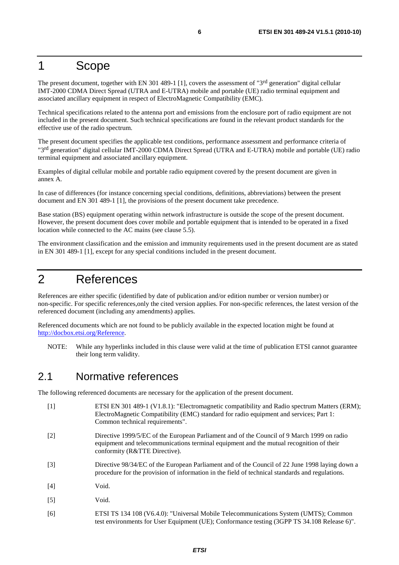### 1 Scope

The present document, together with EN 301 489-1 [1], covers the assessment of "3<sup>rd</sup> generation" digital cellular IMT-2000 CDMA Direct Spread (UTRA and E-UTRA) mobile and portable (UE) radio terminal equipment and associated ancillary equipment in respect of ElectroMagnetic Compatibility (EMC).

Technical specifications related to the antenna port and emissions from the enclosure port of radio equipment are not included in the present document. Such technical specifications are found in the relevant product standards for the effective use of the radio spectrum.

The present document specifies the applicable test conditions, performance assessment and performance criteria of "3rd generation" digital cellular IMT-2000 CDMA Direct Spread (UTRA and E-UTRA) mobile and portable (UE) radio terminal equipment and associated ancillary equipment.

Examples of digital cellular mobile and portable radio equipment covered by the present document are given in annex A.

In case of differences (for instance concerning special conditions, definitions, abbreviations) between the present document and EN 301 489-1 [1], the provisions of the present document take precedence.

Base station (BS) equipment operating within network infrastructure is outside the scope of the present document. However, the present document does cover mobile and portable equipment that is intended to be operated in a fixed location while connected to the AC mains (see clause 5.5).

The environment classification and the emission and immunity requirements used in the present document are as stated in EN 301 489-1 [1], except for any special conditions included in the present document.

### 2 References

References are either specific (identified by date of publication and/or edition number or version number) or non-specific. For specific references,only the cited version applies. For non-specific references, the latest version of the referenced document (including any amendments) applies.

Referenced documents which are not found to be publicly available in the expected location might be found at [http://docbox.etsi.org/Reference.](http://docbox.etsi.org/Reference)

NOTE: While any hyperlinks included in this clause were valid at the time of publication ETSI cannot guarantee their long term validity.

#### 2.1 Normative references

The following referenced documents are necessary for the application of the present document.

- [1] ETSI EN 301 489-1 (V1.8.1): "Electromagnetic compatibility and Radio spectrum Matters (ERM); ElectroMagnetic Compatibility (EMC) standard for radio equipment and services; Part 1: Common technical requirements".
- [2] Directive 1999/5/EC of the European Parliament and of the Council of 9 March 1999 on radio equipment and telecommunications terminal equipment and the mutual recognition of their conformity (R&TTE Directive).
- [3] Directive 98/34/EC of the European Parliament and of the Council of 22 June 1998 laying down a procedure for the provision of information in the field of technical standards and regulations.
- [4] Void.
- [5] Void.
- [6] ETSI TS 134 108 (V6.4.0): "Universal Mobile Telecommunications System (UMTS); Common test environments for User Equipment (UE); Conformance testing (3GPP TS 34.108 Release 6)".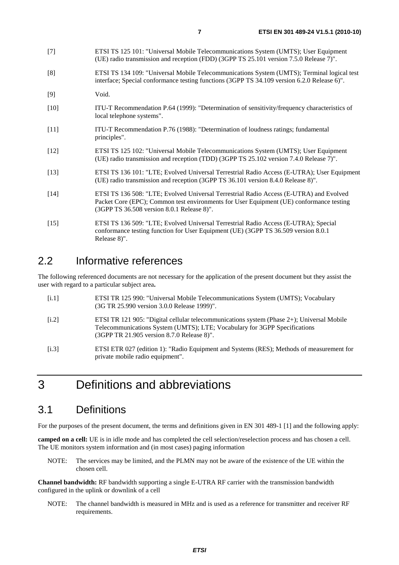| $[7]$  | ETSI TS 125 101: "Universal Mobile Telecommunications System (UMTS); User Equipment<br>(UE) radio transmission and reception (FDD) (3GPP TS 25.101 version 7.5.0 Release 7)".             |
|--------|-------------------------------------------------------------------------------------------------------------------------------------------------------------------------------------------|
| [8]    | ETSI TS 134 109: "Universal Mobile Telecommunications System (UMTS); Terminal logical test<br>interface; Special conformance testing functions (3GPP TS 34.109 version 6.2.0 Release 6)". |
| $[9]$  | Void.                                                                                                                                                                                     |
| $[10]$ | ITU-T Recommendation P.64 (1999): "Determination of sensitivity/frequency characteristics of<br>local telephone systems".                                                                 |
| $[11]$ | ITU-T Recommendation P.76 (1988): "Determination of loudness ratings; fundamental<br>principles".                                                                                         |
| $[12]$ | ETSI TS 125 102: "Universal Mobile Telecommunications System (UMTS); User Equipment<br>(UE) radio transmission and reception (TDD) (3GPP TS 25.102 version 7.4.0 Release 7)".             |
| $[13]$ | ETSI TS 136 101: "LTE; Evolved Universal Terrestrial Radio Access (E-UTRA); User Equipment<br>(UE) radio transmission and reception (3GPP TS 36.101 version 8.4.0 Release 8)".            |
|        |                                                                                                                                                                                           |

- [14] ETSI TS 136 508: "LTE; Evolved Universal Terrestrial Radio Access (E-UTRA) and Evolved Packet Core (EPC); Common test environments for User Equipment (UE) conformance testing (3GPP TS 36.508 version 8.0.1 Release 8)".
- [15] ETSI TS 136 509: "LTE; Evolved Universal Terrestrial Radio Access (E-UTRA); Special conformance testing function for User Equipment (UE) (3GPP TS 36.509 version 8.0.1 Release 8)".

#### 2.2 Informative references

 $[9]$ 

The following referenced documents are not necessary for the application of the present document but they assist the user with regard to a particular subject area**.**

| [i.1]              | ETSI TR 125 990: "Universal Mobile Telecommunications System (UMTS); Vocabulary<br>(3G TR 25.990 version 3.0.0 Release 1999)".                                                                                       |
|--------------------|----------------------------------------------------------------------------------------------------------------------------------------------------------------------------------------------------------------------|
| $\left[1.2\right]$ | ETSI TR 121 905: "Digital cellular telecommunications system (Phase 2+); Universal Mobile<br>Telecommunications System (UMTS); LTE; Vocabulary for 3GPP Specifications<br>(3GPP TR 21.905 version 8.7.0 Release 8)". |
| [i.3]              | ETSI ETR 027 (edition 1): "Radio Equipment and Systems (RES); Methods of measurement for<br>private mobile radio equipment".                                                                                         |

### 3 Definitions and abbreviations

#### 3.1 Definitions

For the purposes of the present document, the terms and definitions given in EN 301 489-1 [1] and the following apply:

**camped on a cell:** UE is in idle mode and has completed the cell selection/reselection process and has chosen a cell. The UE monitors system information and (in most cases) paging information

NOTE: The services may be limited, and the PLMN may not be aware of the existence of the UE within the chosen cell.

**Channel bandwidth:** RF bandwidth supporting a single E-UTRA RF carrier with the transmission bandwidth configured in the uplink or downlink of a cell

NOTE: The channel bandwidth is measured in MHz and is used as a reference for transmitter and receiver RF requirements.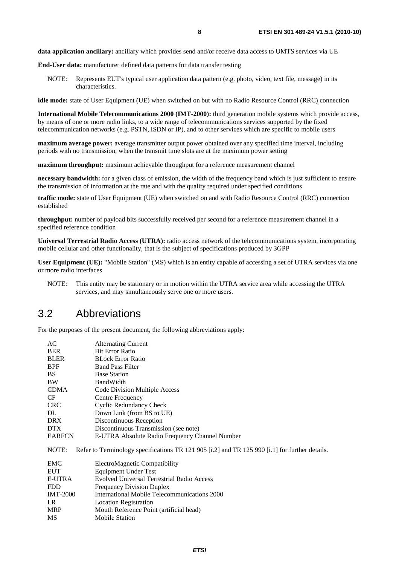**data application ancillary:** ancillary which provides send and/or receive data access to UMTS services via UE

**End-User data:** manufacturer defined data patterns for data transfer testing

NOTE: Represents EUT's typical user application data pattern (e.g. photo, video, text file, message) in its characteristics.

**idle mode:** state of User Equipment (UE) when switched on but with no Radio Resource Control (RRC) connection

**International Mobile Telecommunications 2000 (IMT-2000):** third generation mobile systems which provide access, by means of one or more radio links, to a wide range of telecommunications services supported by the fixed telecommunication networks (e.g. PSTN, ISDN or IP), and to other services which are specific to mobile users

**maximum average power:** average transmitter output power obtained over any specified time interval, including periods with no transmission, when the transmit time slots are at the maximum power setting

**maximum throughput:** maximum achievable throughput for a reference measurement channel

**necessary bandwidth:** for a given class of emission, the width of the frequency band which is just sufficient to ensure the transmission of information at the rate and with the quality required under specified conditions

**traffic mode:** state of User Equipment (UE) when switched on and with Radio Resource Control (RRC) connection established

**throughput:** number of payload bits successfully received per second for a reference measurement channel in a specified reference condition

**Universal Terrestrial Radio Access (UTRA):** radio access network of the telecommunications system, incorporating mobile cellular and other functionality, that is the subject of specifications produced by 3GPP

**User Equipment (UE):** "Mobile Station" (MS) which is an entity capable of accessing a set of UTRA services via one or more radio interfaces

NOTE: This entity may be stationary or in motion within the UTRA service area while accessing the UTRA services, and may simultaneously serve one or more users.

#### 3.2 Abbreviations

For the purposes of the present document, the following abbreviations apply:

| AC            | <b>Alternating Current</b>                     |  |  |
|---------------|------------------------------------------------|--|--|
| <b>BER</b>    | <b>Bit Error Ratio</b>                         |  |  |
| <b>BLER</b>   | <b>BLock Error Ratio</b>                       |  |  |
| <b>BPF</b>    | <b>Band Pass Filter</b>                        |  |  |
| BS.           | <b>Base Station</b>                            |  |  |
| <b>BW</b>     | <b>BandWidth</b>                               |  |  |
| <b>CDMA</b>   | Code Division Multiple Access                  |  |  |
| <b>CF</b>     | Centre Frequency                               |  |  |
| <b>CRC</b>    | Cyclic Redundancy Check                        |  |  |
| DL            | Down Link (from BS to UE)                      |  |  |
| <b>DRX</b>    | Discontinuous Reception                        |  |  |
| <b>DTX</b>    | Discontinuous Transmission (see note)          |  |  |
| <b>EARFCN</b> | E-UTRA Absolute Radio Frequency Channel Number |  |  |
|               | $\blacksquare$<br>$1 - 2 - 4 - 8 - 0 - 12$     |  |  |

NOTE: Refer to Terminology specifications TR 121 905 [i.2] and TR 125 990 [i.1] for further details.

| EMC             | ElectroMagnetic Compatibility                     |
|-----------------|---------------------------------------------------|
| <b>EUT</b>      | <b>Equipment Under Test</b>                       |
| <b>E-UTRA</b>   | <b>Evolved Universal Terrestrial Radio Access</b> |
| <b>FDD</b>      | <b>Frequency Division Duplex</b>                  |
| <b>IMT-2000</b> | International Mobile Telecommunications 2000      |
| LR              | <b>Location Registration</b>                      |
| <b>MRP</b>      | Mouth Reference Point (artificial head)           |
| <b>MS</b>       | <b>Mobile Station</b>                             |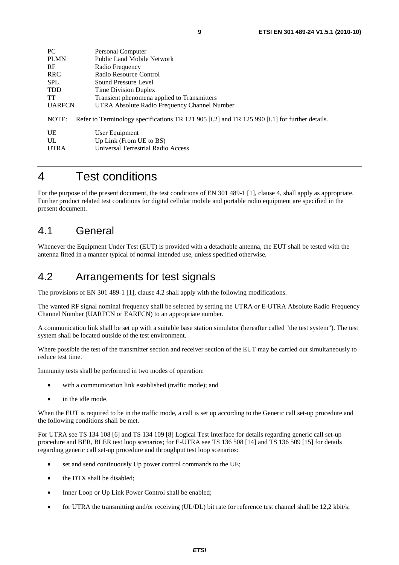| PC.           | Personal Computer                                                                              |
|---------------|------------------------------------------------------------------------------------------------|
| <b>PLMN</b>   | Public Land Mobile Network                                                                     |
| <b>RF</b>     | Radio Frequency                                                                                |
| <b>RRC</b>    | Radio Resource Control                                                                         |
| <b>SPL</b>    | Sound Pressure Level                                                                           |
| <b>TDD</b>    | Time Division Duplex                                                                           |
| <b>TT</b>     | Transient phenomena applied to Transmitters                                                    |
| <b>UARFCN</b> | UTRA Absolute Radio Frequency Channel Number                                                   |
| NOTE:         | Refer to Terminology specifications TR 121 905 [i.2] and TR 125 990 [i.1] for further details. |
| UE            | User Equipment                                                                                 |
| UL            | Up Link (From UE to BS)                                                                        |
| <b>UTRA</b>   | Universal Terrestrial Radio Access                                                             |

### 4 Test conditions

For the purpose of the present document, the test conditions of EN 301 489-1 [1], clause 4, shall apply as appropriate. Further product related test conditions for digital cellular mobile and portable radio equipment are specified in the present document.

### 4.1 General

Whenever the Equipment Under Test (EUT) is provided with a detachable antenna, the EUT shall be tested with the antenna fitted in a manner typical of normal intended use, unless specified otherwise.

### 4.2 Arrangements for test signals

The provisions of EN 301 489-1 [1], clause 4.2 shall apply with the following modifications.

The wanted RF signal nominal frequency shall be selected by setting the UTRA or E-UTRA Absolute Radio Frequency Channel Number (UARFCN or EARFCN) to an appropriate number.

A communication link shall be set up with a suitable base station simulator (hereafter called "the test system"). The test system shall be located outside of the test environment.

Where possible the test of the transmitter section and receiver section of the EUT may be carried out simultaneously to reduce test time.

Immunity tests shall be performed in two modes of operation:

- with a communication link established (traffic mode); and
- in the idle mode.

When the EUT is required to be in the traffic mode, a call is set up according to the Generic call set-up procedure and the following conditions shall be met.

For UTRA see TS 134 108 [6] and TS 134 109 [8] Logical Test Interface for details regarding generic call set-up procedure and BER, BLER test loop scenarios; for E-UTRA see TS 136 508 [14] and TS 136 509 [15] for details regarding generic call set-up procedure and throughput test loop scenarios:

- set and send continuously Up power control commands to the UE;
- the DTX shall be disabled;
- Inner Loop or Up Link Power Control shall be enabled;
- for UTRA the transmitting and/or receiving (UL/DL) bit rate for reference test channel shall be 12,2 kbit/s;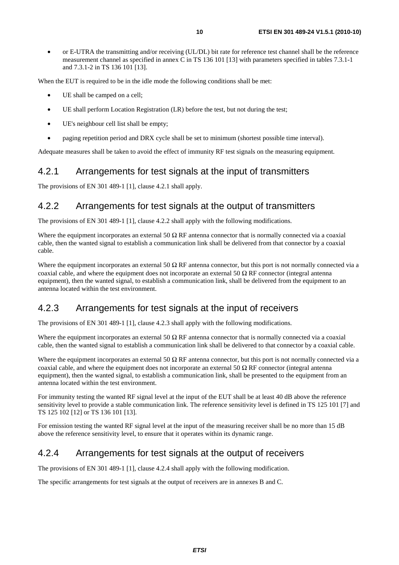• or E-UTRA the transmitting and/or receiving (UL/DL) bit rate for reference test channel shall be the reference measurement channel as specified in annex C in TS 136 101 [13] with parameters specified in tables 7.3.1-1 and 7.3.1-2 in TS 136 101 [13].

When the EUT is required to be in the idle mode the following conditions shall be met:

- UE shall be camped on a cell;
- UE shall perform Location Registration (LR) before the test, but not during the test;
- UE's neighbour cell list shall be empty;
- paging repetition period and DRX cycle shall be set to minimum (shortest possible time interval).

Adequate measures shall be taken to avoid the effect of immunity RF test signals on the measuring equipment.

#### 4.2.1 Arrangements for test signals at the input of transmitters

The provisions of EN 301 489-1 [1], clause 4.2.1 shall apply.

#### 4.2.2 Arrangements for test signals at the output of transmitters

The provisions of EN 301 489-1 [1], clause 4.2.2 shall apply with the following modifications.

Where the equipment incorporates an external 50  $\Omega$  RF antenna connector that is normally connected via a coaxial cable, then the wanted signal to establish a communication link shall be delivered from that connector by a coaxial cable.

Where the equipment incorporates an external 50  $\Omega$  RF antenna connector, but this port is not normally connected via a coaxial cable, and where the equipment does not incorporate an external 50  $\Omega$  RF connector (integral antenna equipment), then the wanted signal, to establish a communication link, shall be delivered from the equipment to an antenna located within the test environment.

#### 4.2.3 Arrangements for test signals at the input of receivers

The provisions of EN 301 489-1 [1], clause 4.2.3 shall apply with the following modifications.

Where the equipment incorporates an external 50  $\Omega$  RF antenna connector that is normally connected via a coaxial cable, then the wanted signal to establish a communication link shall be delivered to that connector by a coaxial cable.

Where the equipment incorporates an external 50  $\Omega$  RF antenna connector, but this port is not normally connected via a coaxial cable, and where the equipment does not incorporate an external 50  $\Omega$  RF connector (integral antenna equipment), then the wanted signal, to establish a communication link, shall be presented to the equipment from an antenna located within the test environment.

For immunity testing the wanted RF signal level at the input of the EUT shall be at least 40 dB above the reference sensitivity level to provide a stable communication link. The reference sensitivity level is defined in TS 125 101 [7] and TS 125 102 [12] or TS 136 101 [13].

For emission testing the wanted RF signal level at the input of the measuring receiver shall be no more than 15 dB above the reference sensitivity level, to ensure that it operates within its dynamic range.

#### 4.2.4 Arrangements for test signals at the output of receivers

The provisions of EN 301 489-1 [1], clause 4.2.4 shall apply with the following modification.

The specific arrangements for test signals at the output of receivers are in annexes B and C.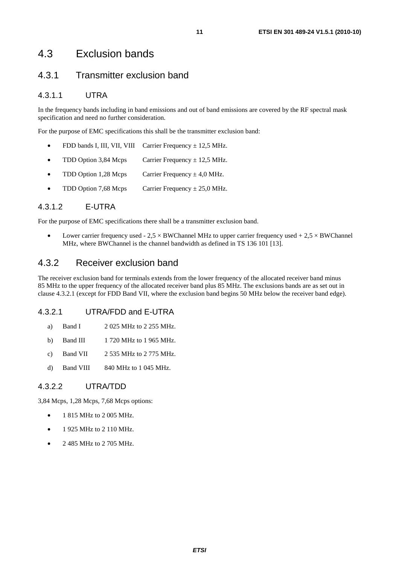### 4.3 Exclusion bands

#### 4.3.1 Transmitter exclusion band

#### 4.3.1.1 UTRA

In the frequency bands including in band emissions and out of band emissions are covered by the RF spectral mask specification and need no further consideration.

For the purpose of EMC specifications this shall be the transmitter exclusion band:

- FDD bands I, III, VII, VIII Carrier Frequency  $\pm$  12,5 MHz.
- TDD Option 3,84 Mcps Carrier Frequency  $\pm$  12.5 MHz.
- TDD Option 1,28 Mcps Carrier Frequency  $\pm$  4,0 MHz.
- TDD Option 7,68 Mcps Carrier Frequency  $\pm 25.0$  MHz.

#### 4.3.1.2 E-UTRA

For the purpose of EMC specifications there shall be a transmitter exclusion band.

Lower carrier frequency used -  $2.5 \times$  BWChannel MHz to upper carrier frequency used +  $2.5 \times$  BWChannel MHz, where BWChannel is the channel bandwidth as defined in TS 136 101 [13].

#### 4.3.2 Receiver exclusion band

The receiver exclusion band for terminals extends from the lower frequency of the allocated receiver band minus 85 MHz to the upper frequency of the allocated receiver band plus 85 MHz. The exclusions bands are as set out in clause 4.3.2.1 (except for FDD Band VII, where the exclusion band begins 50 MHz below the receiver band edge).

#### 4.3.2.1 UTRA/FDD and E-UTRA

- a) Band I 2 025 MHz to 2 255 MHz.
- b) Band III 1 720 MHz to 1 965 MHz.
- c) Band VII 2 535 MHz to 2 775 MHz.
- d) Band VIII 840 MHz to 1 045 MHz.

#### 4.3.2.2 UTRA/TDD

3,84 Mcps, 1,28 Mcps, 7,68 Mcps options:

- 1 815 MHz to 2 005 MHz.
- 1 925 MHz to 2 110 MHz.
- 2 485 MHz to 2 705 MHz.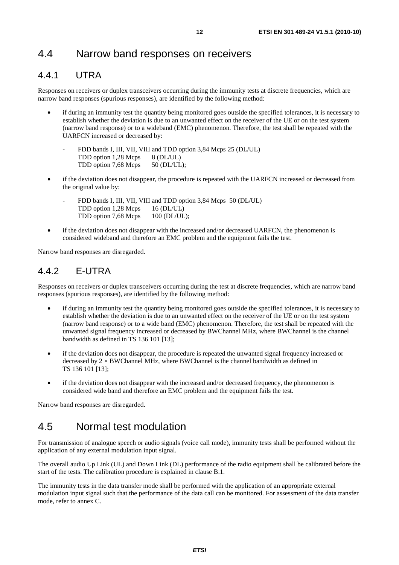#### 4.4.1 UTRA

Responses on receivers or duplex transceivers occurring during the immunity tests at discrete frequencies, which are narrow band responses (spurious responses), are identified by the following method:

- if during an immunity test the quantity being monitored goes outside the specified tolerances, it is necessary to establish whether the deviation is due to an unwanted effect on the receiver of the UE or on the test system (narrow band response) or to a wideband (EMC) phenomenon. Therefore, the test shall be repeated with the UARFCN increased or decreased by:
	- FDD bands I, III, VII, VIII and TDD option 3,84 Mcps 25 (DL/UL) TDD option 1,28 Mcps 8 (DL/UL) TDD option 7,68 Mcps 50 (DL/UL);
- if the deviation does not disappear, the procedure is repeated with the UARFCN increased or decreased from the original value by:
	- FDD bands I, III, VII, VIII and TDD option 3,84 Mcps 50 (DL/UL) TDD option 1,28 Mcps 16 (DL/UL) TDD option 7,68 Mcps 100 (DL/UL);
- if the deviation does not disappear with the increased and/or decreased UARFCN, the phenomenon is considered wideband and therefore an EMC problem and the equipment fails the test.

Narrow band responses are disregarded.

#### 4.4.2 E-UTRA

Responses on receivers or duplex transceivers occurring during the test at discrete frequencies, which are narrow band responses (spurious responses), are identified by the following method:

- if during an immunity test the quantity being monitored goes outside the specified tolerances, it is necessary to establish whether the deviation is due to an unwanted effect on the receiver of the UE or on the test system (narrow band response) or to a wide band (EMC) phenomenon. Therefore, the test shall be repeated with the unwanted signal frequency increased or decreased by BWChannel MHz, where BWChannel is the channel bandwidth as defined in TS 136 101 [13];
- if the deviation does not disappear, the procedure is repeated the unwanted signal frequency increased or decreased by  $2 \times BWChannel$  MHz, where BWChannel is the channel bandwidth as defined in TS 136 101 [13];
- if the deviation does not disappear with the increased and/or decreased frequency, the phenomenon is considered wide band and therefore an EMC problem and the equipment fails the test.

Narrow band responses are disregarded.

### 4.5 Normal test modulation

For transmission of analogue speech or audio signals (voice call mode), immunity tests shall be performed without the application of any external modulation input signal.

The overall audio Up Link (UL) and Down Link (DL) performance of the radio equipment shall be calibrated before the start of the tests. The calibration procedure is explained in clause B.1.

The immunity tests in the data transfer mode shall be performed with the application of an appropriate external modulation input signal such that the performance of the data call can be monitored. For assessment of the data transfer mode, refer to annex C.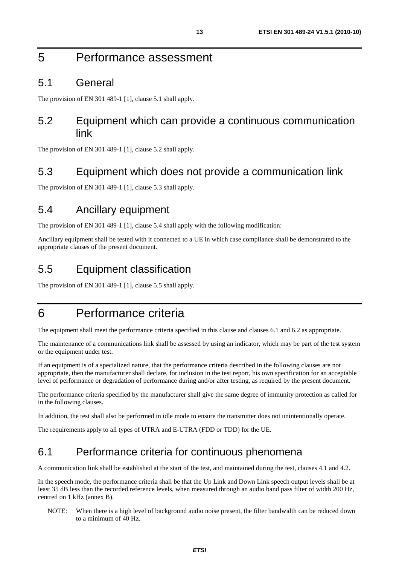### 5 Performance assessment

#### 5.1 General

The provision of EN 301 489-1 [1], clause 5.1 shall apply.

#### 5.2 Equipment which can provide a continuous communication link

The provision of EN 301 489-1 [1], clause 5.2 shall apply.

### 5.3 Equipment which does not provide a communication link

The provision of EN 301 489-1 [1], clause 5.3 shall apply.

### 5.4 Ancillary equipment

The provision of EN 301 489-1 [1], clause 5.4 shall apply with the following modification:

Ancillary equipment shall be tested with it connected to a UE in which case compliance shall be demonstrated to the appropriate clauses of the present document.

#### 5.5 Equipment classification

The provision of EN 301 489-1 [1], clause 5.5 shall apply.

### 6 Performance criteria

The equipment shall meet the performance criteria specified in this clause and clauses 6.1 and 6.2 as appropriate.

The maintenance of a communications link shall be assessed by using an indicator, which may be part of the test system or the equipment under test.

If an equipment is of a specialized nature, that the performance criteria described in the following clauses are not appropriate, then the manufacturer shall declare, for inclusion in the test report, his own specification for an acceptable level of performance or degradation of performance during and/or after testing, as required by the present document.

The performance criteria specified by the manufacturer shall give the same degree of immunity protection as called for in the following clauses.

In addition, the test shall also be performed in idle mode to ensure the transmitter does not unintentionally operate.

The requirements apply to all types of UTRA and E-UTRA (FDD or TDD) for the UE.

#### 6.1 Performance criteria for continuous phenomena

A communication link shall be established at the start of the test, and maintained during the test, clauses 4.1 and 4.2.

In the speech mode, the performance criteria shall be that the Up Link and Down Link speech output levels shall be at least 35 dB less than the recorded reference levels, when measured through an audio band pass filter of width 200 Hz, centred on 1 kHz (annex B).

NOTE: When there is a high level of background audio noise present, the filter bandwidth can be reduced down to a minimum of 40 Hz.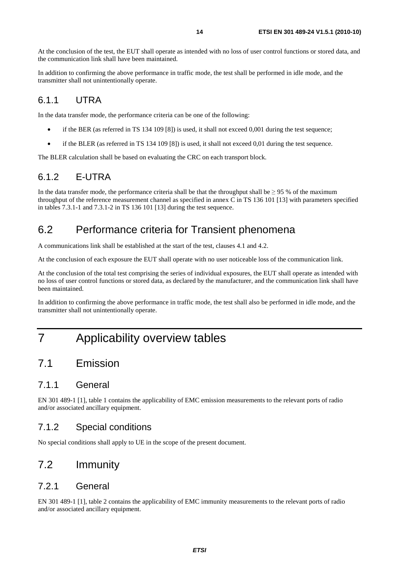At the conclusion of the test, the EUT shall operate as intended with no loss of user control functions or stored data, and the communication link shall have been maintained.

In addition to confirming the above performance in traffic mode, the test shall be performed in idle mode, and the transmitter shall not unintentionally operate.

#### 6.1.1 UTRA

In the data transfer mode, the performance criteria can be one of the following:

- if the BER (as referred in TS 134 109 [8]) is used, it shall not exceed 0,001 during the test sequence;
- if the BLER (as referred in TS 134 109 [8]) is used, it shall not exceed 0,01 during the test sequence.

The BLER calculation shall be based on evaluating the CRC on each transport block.

### 6.1.2 E-UTRA

In the data transfer mode, the performance criteria shall be that the throughput shall be  $> 95\%$  of the maximum throughput of the reference measurement channel as specified in annex C in TS 136 101 [13] with parameters specified in tables 7.3.1-1 and 7.3.1-2 in TS 136 101 [13] during the test sequence.

### 6.2 Performance criteria for Transient phenomena

A communications link shall be established at the start of the test, clauses 4.1 and 4.2.

At the conclusion of each exposure the EUT shall operate with no user noticeable loss of the communication link.

At the conclusion of the total test comprising the series of individual exposures, the EUT shall operate as intended with no loss of user control functions or stored data, as declared by the manufacturer, and the communication link shall have been maintained.

In addition to confirming the above performance in traffic mode, the test shall also be performed in idle mode, and the transmitter shall not unintentionally operate.

## 7 Applicability overview tables

### 7.1 Emission

#### 7.1.1 General

EN 301 489-1 [1], table 1 contains the applicability of EMC emission measurements to the relevant ports of radio and/or associated ancillary equipment.

#### 7.1.2 Special conditions

No special conditions shall apply to UE in the scope of the present document.

### 7.2 Immunity

#### 7.2.1 General

EN 301 489-1 [1], table 2 contains the applicability of EMC immunity measurements to the relevant ports of radio and/or associated ancillary equipment.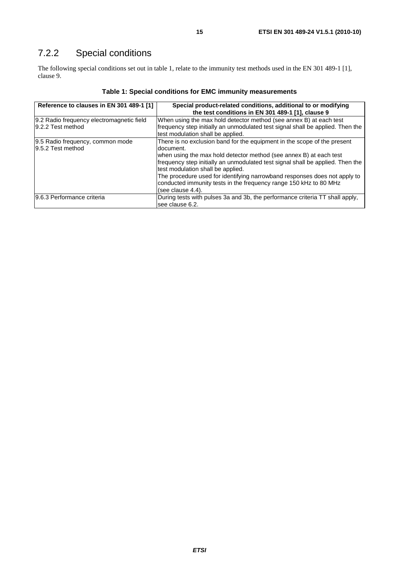### 7.2.2 Special conditions

The following special conditions set out in table 1, relate to the immunity test methods used in the EN 301 489-1 [1], clause 9.

| Reference to clauses in EN 301 489-1 [1]                       | Special product-related conditions, additional to or modifying<br>the test conditions in EN 301 489-1 [1], clause 9                                                                                                                                                                                                                                                                                                                                        |
|----------------------------------------------------------------|------------------------------------------------------------------------------------------------------------------------------------------------------------------------------------------------------------------------------------------------------------------------------------------------------------------------------------------------------------------------------------------------------------------------------------------------------------|
| 9.2 Radio frequency electromagnetic field<br>9.2.2 Test method | When using the max hold detector method (see annex B) at each test<br>frequency step initially an unmodulated test signal shall be applied. Then the<br>test modulation shall be applied.                                                                                                                                                                                                                                                                  |
| 9.5 Radio frequency, common mode<br>9.5.2 Test method          | There is no exclusion band for the equipment in the scope of the present<br>ldocument.<br>when using the max hold detector method (see annex B) at each test<br>frequency step initially an unmodulated test signal shall be applied. Then the<br>test modulation shall be applied.<br>The procedure used for identifying narrowband responses does not apply to<br>conducted immunity tests in the frequency range 150 kHz to 80 MHz<br>(see clause 4.4). |
| 9.6.3 Performance criteria                                     | During tests with pulses 3a and 3b, the performance criteria TT shall apply,<br>lsee clause 6.2.                                                                                                                                                                                                                                                                                                                                                           |

#### **Table 1: Special conditions for EMC immunity measurements**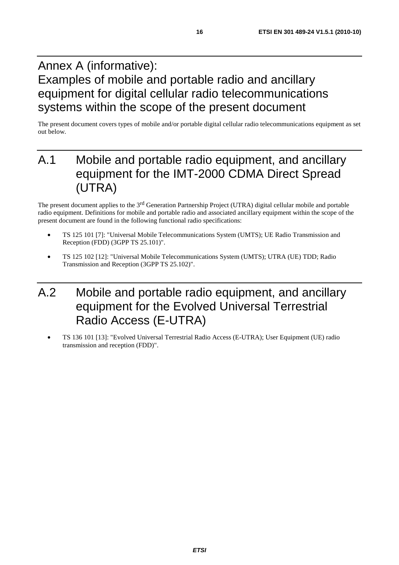## Annex A (informative): Examples of mobile and portable radio and ancillary equipment for digital cellular radio telecommunications systems within the scope of the present document

The present document covers types of mobile and/or portable digital cellular radio telecommunications equipment as set out below.

## A.1 Mobile and portable radio equipment, and ancillary equipment for the IMT-2000 CDMA Direct Spread (UTRA)

The present document applies to the 3rd Generation Partnership Project (UTRA) digital cellular mobile and portable radio equipment. Definitions for mobile and portable radio and associated ancillary equipment within the scope of the present document are found in the following functional radio specifications:

- TS 125 101 [7]: "Universal Mobile Telecommunications System (UMTS); UE Radio Transmission and Reception (FDD) (3GPP TS 25.101)".
- TS 125 102 [12]: "Universal Mobile Telecommunications System (UMTS); UTRA (UE) TDD; Radio Transmission and Reception (3GPP TS 25.102)".

## A.2 Mobile and portable radio equipment, and ancillary equipment for the Evolved Universal Terrestrial Radio Access (E-UTRA)

• TS 136 101 [13]: "Evolved Universal Terrestrial Radio Access (E-UTRA); User Equipment (UE) radio transmission and reception (FDD)".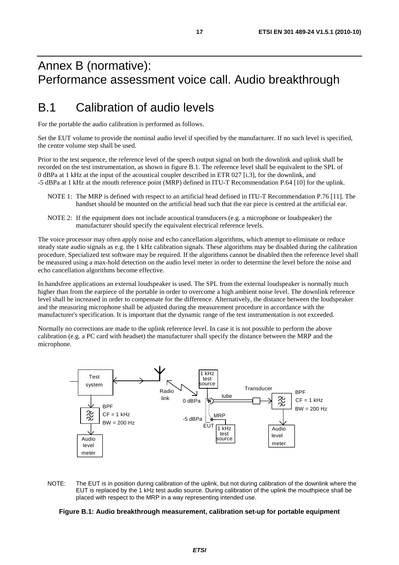### Annex B (normative): Performance assessment voice call. Audio breakthrough

### B.1 Calibration of audio levels

For the portable the audio calibration is performed as follows.

Set the EUT volume to provide the nominal audio level if specified by the manufacturer. If no such level is specified, the centre volume step shall be used.

Prior to the test sequence, the reference level of the speech output signal on both the downlink and uplink shall be recorded on the test instrumentation, as shown in figure B.1. The reference level shall be equivalent to the SPL of 0 dBPa at 1 kHz at the input of the acoustical coupler described in ETR 027 [i.3], for the downlink, and -5 dBPa at 1 kHz at the mouth reference point (MRP) defined in ITU-T Recommendation P.64 [10] for the uplink.

- NOTE 1: The MRP is defined with respect to an artificial head defined in ITU-T Recommendation P.76 [11]. The handset should be mounted on the artificial head such that the ear piece is centred at the artificial ear.
- NOTE 2: If the equipment does not include acoustical transducers (e.g. a microphone or loudspeaker) the manufacturer should specify the equivalent electrical reference levels.

The voice processor may often apply noise and echo cancellation algorithms, which attempt to eliminate or reduce steady state audio signals as e.g. the 1 kHz calibration signals. These algorithms may be disabled during the calibration procedure. Specialized test software may be required. If the algorithms cannot be disabled then the reference level shall be measured using a max-hold detection on the audio level meter in order to determine the level before the noise and echo cancellation algorithms become effective.

In handsfree applications an external loudspeaker is used. The SPL from the external loudspeaker is normally much higher than from the earpiece of the portable in order to overcome a high ambient noise level. The downlink reference level shall be increased in order to compensate for the difference. Alternatively, the distance between the loudspeaker and the measuring microphone shall be adjusted during the measurement procedure in accordance with the manufacturer's specification. It is important that the dynamic range of the test instrumentation is not exceeded.

Normally no corrections are made to the uplink reference level. In case it is not possible to perform the above calibration (e.g. a PC card with headset) the manufacturer shall specify the distance between the MRP and the microphone.



NOTE: The EUT is in position during calibration of the uplink, but not during calibration of the downlink where the EUT is replaced by the 1 kHz test audio source. During calibration of the uplink the mouthpiece shall be placed with respect to the MRP in a way representing intended use.

#### **Figure B.1: Audio breakthrough measurement, calibration set-up for portable equipment**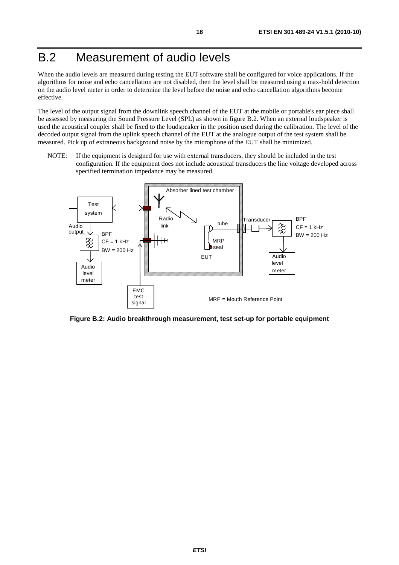## B.2 Measurement of audio levels

When the audio levels are measured during testing the EUT software shall be configured for voice applications. If the algorithms for noise and echo cancellation are not disabled, then the level shall be measured using a max-hold detection on the audio level meter in order to determine the level before the noise and echo cancellation algorithms become effective.

The level of the output signal from the downlink speech channel of the EUT at the mobile or portable's ear piece shall be assessed by measuring the Sound Pressure Level (SPL) as shown in figure B.2. When an external loudspeaker is used the acoustical coupler shall be fixed to the loudspeaker in the position used during the calibration. The level of the decoded output signal from the uplink speech channel of the EUT at the analogue output of the test system shall be measured. Pick up of extraneous background noise by the microphone of the EUT shall be minimized.

NOTE: If the equipment is designed for use with external transducers, they should be included in the test configuration. If the equipment does not include acoustical transducers the line voltage developed across specified termination impedance may be measured.



**Figure B.2: Audio breakthrough measurement, test set-up for portable equipment**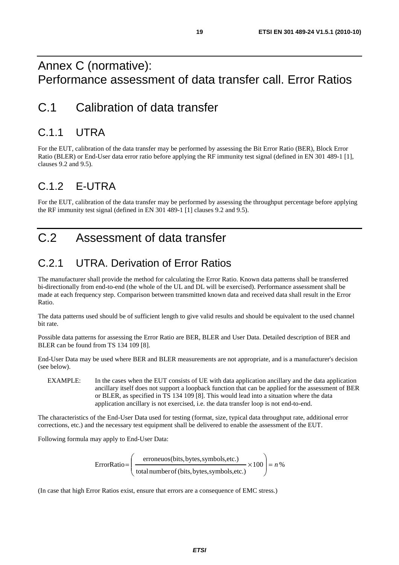### Annex C (normative): Performance assessment of data transfer call. Error Ratios

### C.1 Calibration of data transfer

### C.1.1 UTRA

For the EUT, calibration of the data transfer may be performed by assessing the Bit Error Ratio (BER), Block Error Ratio (BLER) or End-User data error ratio before applying the RF immunity test signal (defined in EN 301 489-1 [1], clauses 9.2 and 9.5).

### C.1.2 E-UTRA

For the EUT, calibration of the data transfer may be performed by assessing the throughput percentage before applying the RF immunity test signal (defined in EN 301 489-1 [1] clauses 9.2 and 9.5).

## C.2 Assessment of data transfer

## C.2.1 UTRA. Derivation of Error Ratios

The manufacturer shall provide the method for calculating the Error Ratio. Known data patterns shall be transferred bi-directionally from end-to-end (the whole of the UL and DL will be exercised). Performance assessment shall be made at each frequency step. Comparison between transmitted known data and received data shall result in the Error Ratio.

The data patterns used should be of sufficient length to give valid results and should be equivalent to the used channel bit rate.

Possible data patterns for assessing the Error Ratio are BER, BLER and User Data. Detailed description of BER and BLER can be found from TS 134 109 [8].

End-User Data may be used where BER and BLER measurements are not appropriate, and is a manufacturer's decision (see below).

EXAMPLE: In the cases when the EUT consists of UE with data application ancillary and the data application ancillary itself does not support a loopback function that can be applied for the assessment of BER or BLER, as specified in TS 134 109 [8]. This would lead into a situation where the data application ancillary is not exercised, i.e. the data transfer loop is not end-to-end.

The characteristics of the End-User Data used for testing (format, size, typical data throughput rate, additional error corrections, etc.) and the necessary test equipment shall be delivered to enable the assessment of the EUT.

Following formula may apply to End-User Data:

$$
ErrorRatio = \left(\frac{eroneuos(bits, bytes, symbols, etc.)}{total number of (bits, bytes, symbols, etc.)} \times 100\right) = n\%
$$

(In case that high Error Ratios exist, ensure that errors are a consequence of EMC stress.)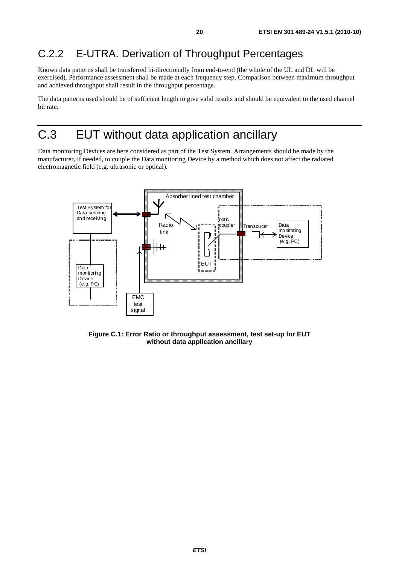### C.2.2 E-UTRA. Derivation of Throughput Percentages

Known data patterns shall be transferred bi-directionally from end-to-end (the whole of the UL and DL will be exercised). Performance assessment shall be made at each frequency step. Comparison between maximum throughput and achieved throughput shall result in the throughput percentage.

The data patterns used should be of sufficient length to give valid results and should be equivalent to the used channel bit rate.

## C.3 EUT without data application ancillary

Data monitoring Devices are here considered as part of the Test System. Arrangements should be made by the manufacturer, if needed, to couple the Data monitoring Device by a method which does not affect the radiated electromagnetic field (e.g. ultrasonic or optical).



**Figure C.1: Error Ratio or throughput assessment, test set-up for EUT without data application ancillary**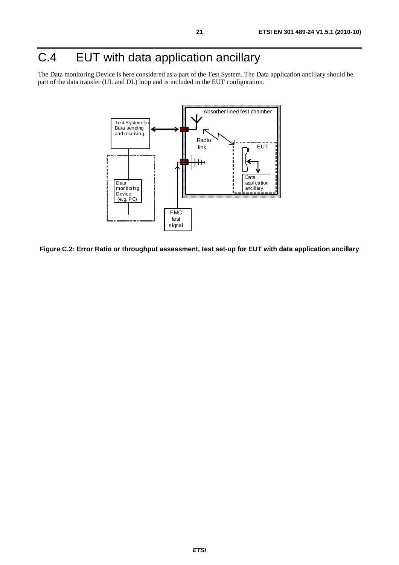## C.4 EUT with data application ancillary

The Data monitoring Device is here considered as a part of the Test System. The Data application ancillary should be part of the data transfer (UL and DL) loop and is included in the EUT configuration.



**Figure C.2: Error Ratio or throughput assessment, test set-up for EUT with data application ancillary**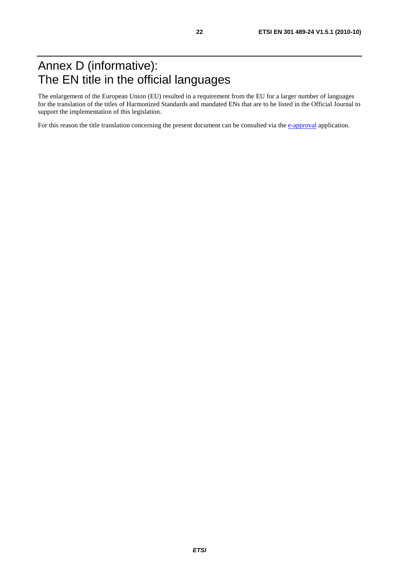## Annex D (informative): The EN title in the official languages

The enlargement of the European Union (EU) resulted in a requirement from the EU for a larger number of languages for the translation of the titles of Harmonized Standards and mandated ENs that are to be listed in the Official Journal to support the implementation of this legislation.

For this reason the title translation concerning the present document can be consulted via the [e-approval](http://portal.etsi.org/EApproval/TranslationListView.aspx?WKI_ID=30981&ACTION_NB=20101002) application.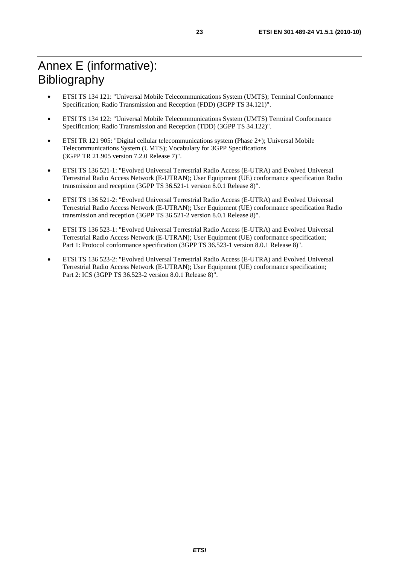- ETSI TS 134 121: "Universal Mobile Telecommunications System (UMTS); Terminal Conformance Specification; Radio Transmission and Reception (FDD) (3GPP TS 34.121)".
- ETSI TS 134 122: "Universal Mobile Telecommunications System (UMTS) Terminal Conformance Specification; Radio Transmission and Reception (TDD) (3GPP TS 34.122)".
- ETSI TR 121 905: "Digital cellular telecommunications system (Phase 2+); Universal Mobile Telecommunications System (UMTS); Vocabulary for 3GPP Specifications (3GPP TR 21.905 version 7.2.0 Release 7)".
- ETSI TS 136 521-1: "Evolved Universal Terrestrial Radio Access (E-UTRA) and Evolved Universal Terrestrial Radio Access Network (E-UTRAN); User Equipment (UE) conformance specification Radio transmission and reception (3GPP TS 36.521-1 version 8.0.1 Release 8)".
- ETSI TS 136 521-2: "Evolved Universal Terrestrial Radio Access (E-UTRA) and Evolved Universal Terrestrial Radio Access Network (E-UTRAN); User Equipment (UE) conformance specification Radio transmission and reception (3GPP TS 36.521-2 version 8.0.1 Release 8)".
- ETSI TS 136 523-1: "Evolved Universal Terrestrial Radio Access (E-UTRA) and Evolved Universal Terrestrial Radio Access Network (E-UTRAN); User Equipment (UE) conformance specification; Part 1: Protocol conformance specification (3GPP TS 36.523-1 version 8.0.1 Release 8)".
- ETSI TS 136 523-2: "Evolved Universal Terrestrial Radio Access (E-UTRA) and Evolved Universal Terrestrial Radio Access Network (E-UTRAN); User Equipment (UE) conformance specification; Part 2: ICS (3GPP TS 36.523-2 version 8.0.1 Release 8)".